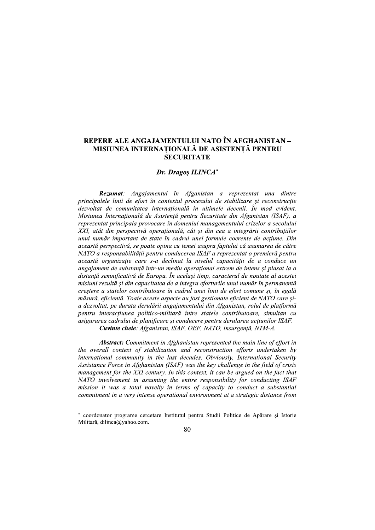### REPERE ALE ANGAJAMENTULUI NATO IN AFGHANISTAN – MISIUNEA INTERNATIONALĂ DE ASISTENTĂ PENTRU **SECURITATE**

# Dr. Dragos ILINCA\*

**AMENTULUI NATO ÎN AFGHAN<br>
VAȚIONALĂ DE ASISTENȚĂ PEI<br>
SECURITATE<br>
Dr. Dragoș ILINCA\*<br>
entul în Afganistan a reprezentat<br>
contextul procesului de stabilizare și n<br>
ternațională în ultimele decenii. În n<br>
tsistență pentru S** Rezumat: Angajamentul în Afganistan a reprezentat una dintre principalele linii de efort în contextul procesului de stabilizare și reconstrucție dezvoltat de comunitatea internatională în ultimele decenii. În mod evident, Misiunea Internațională de Asistență pentru Securitate din Afganistan (ISAF), a reprezentat principala provocare în domeniul managementului crizelor a secolului XXI, atât din perspectivă operațională, cât și din cea a integrării contribuțiilor unui număr important de state în cadrul unei formule coerente de actiune. Din această perspectivă, se poate opina cu temei asupra faptului că asumarea de către NATO a responsabilității pentru conducerea ISAF a reprezentat o premieră pentru această organizatie care s-a declinat la nivelul capacitătii de a conduce un angajament de substanță într-un mediu operațional extrem de intens și plasat la o distanță semnificativă de Europa. În același timp, caracterul de noutate al acestei misiuni rezultă și din capacitatea de a integra eforturile unui număr în permanentă creștere a statelor contributoare în cadrul unei linii de efort comune și, în egală măsură, eficientă. Toate aceste aspecte au fost gestionate eficient de NATO care șia dezvoltat, pe durata derulării angajamentului din Afganistan, rolul de platformă pentru interacțiunea politico-militară între statele contributoare, simultan cu asigurarea cadrului de planificare si conducere pentru derularea actiunilor ISAF. Cuvinte cheie: Afganistan, ISAF, OEF, NATO, insurgență, NTM-A.

Abstract: Commitment in Afghanistan represented the main line of effort in the overall context of stabilization and reconstruction efforts undertaken by international community in the last decades. Obviously, International Security Assistance Force in Afghanistan (ISAF) was the key challenge in the field of crisis management for the XXI century. In this context, it can be argued on the fact that  $NATO$  involvement in assuming the entire responsibility for conducting  $ISAF$ mission it was a total novelty in terms of capacity to conduct a substantial commitment in a very intense operational environment at a strategic distance from

<sup>-</sup>-----------------------------------------------" coordonator programe cercetare Institutul pentru Studii Politice de Apărare și Istorie<br>-Militara, dilinca@yahoo.com.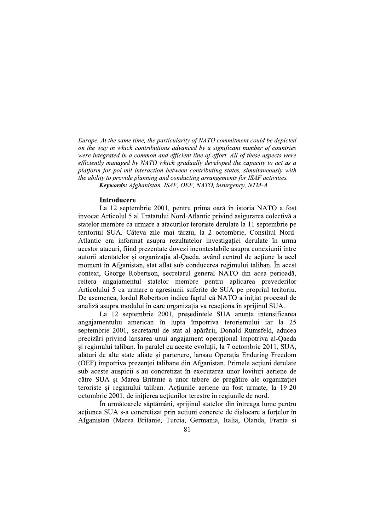Europe. At the same time, the particularity of NATO commitment could be depicted on the way in which contributions advanced by a significant number of countries were integrated in a common and efficient line of effort. All of these aspects were efficiently managed by NATO which gradually developed the capacity to act as a platform for pol-mil interaction between contributing states, simultaneously with the ability to provide planning and conducting arrangements for ISAF activities. Europe. At the same time, the particularity of NATO commitment could be depicted<br>on the way in which contributions advanced by a significant number of countries<br>were integrated in a common and efficient line of effort. All Afghanistan, ISAF, OEF, NATO, insurgency, NTM-A

#### **Introducere**

La 12 septembrie 2001, pentru prima oara în istoria NATO a fost invocat Articolul 5 al Tratatului Nord-Atlantic privind asigurarea colectiva a statelor membre ca urmare a atacurilor teroriste derulate la 11 septembrie pe  $\epsilon$ eritoriul SUA. Cateva zile mai tarziu, la 2 octombrie, Consiliul Nord-Atlantic era informat asupra rezultatelor investigației derulate în urma acestor atacuri, fiind prezentate dovezi incontestabile asupra conexiunii intre autorii atentatelor și organizația al-Qaeda, avand centrul de acțiune la acel moment in Afganistan, stat aflat sub conducerea regimului taliban. In acest context, George Robertson, secretarul general NATO din acea perioada, reitera angajamentul statelor membre pentru aplicarea prevederilor Articolului 5 ca urmare a agresiunii suterite de SUA pe propriul teritoriu. De asemenea, lordul Robertson indica faptul ca NATO a inițiat procesul de analiza asupra modului in care organizația va reacționa in sprijinul SUA.

La 12 septembrie 2001, președintele SUA anunța intensificarea angajamentului american in lupta impotriva terorismului iar la 25 septembrie 2001, secretarul de stat al apararii, Donald Rumsteld, aducea precizari privind lansarea unui angajament operațional impotriva al-Qaeda și regimului taliban. În paralel cu aceste evoluții, la 7 octombrie 2011, SUA, alaturi de alte state aliate și partenere, lansau Operația Enduring Freedom (OEF) impotriva prezenței talibane din Afganistan. Primele acțiuni derulate sub aceste auspicii s-au concretizat in executarea unor lovituri aeriene de catre SUA și Marea Britanie a unor tabere de pregatire ale organizației teroriste și regimului taliban. Acțiunile aeriene au fost urmate, la 19-20 octombrie 2001, de inițierea acțiunilor terestre în regiunile de nord.

In următoarele săptămani, sprijinul statelor din întreaga lume pentru acțiunea SUA s-a concretizat prin acțiuni concrete de dislocare a forțelor in Afganistan (Marea Britanie, Turcia, Germania, Italia, Olanda, Franța și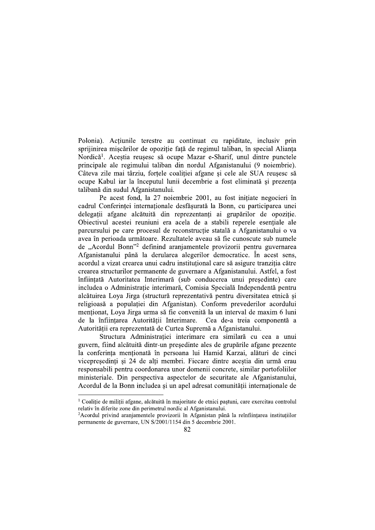Polonia). Actiunile terestre au continuat cu rapiditate, inclusiv prin sprijinirea miscărilor de opozitie fată de regimul taliban, în special Alianta Nordică<sup>1</sup>. Acestia reusesc să ocupe Mazar e-Sharif, unul dintre punctele principale ale regimului taliban din nordul Afganistanului (9 noiembrie). Câteva zile mai târziu, fortele coalitiei afgane si cele ale SUA reusesc să ocupe Kabul iar la începutul lunii decembrie a fost eliminată și prezența talibană din sudul Afganistanului.

Pe acest fond, la 27 noiembrie 2001, au fost initiate negocieri în cadrul Conferinței internaționale desfășurată la Bonn, cu participarea unei delegații afgane alcătuită din reprezentanți ai grupărilor de opoziție. Objectivul acestei reuniuni era acela de a stabili reperele esentiale ale parcursului pe care procesul de reconstrucție statală a Afganistanului o va avea în perioada următoare. Rezultatele aveau să fie cunoscute sub numele de "Acordul Bonn"<sup>2</sup> definind aranjamentele provizorii pentru guvernarea Afganistanului până la derularea alegerilor democratice. În acest sens, acordul a vizat crearea unui cadru institutional care să asigure tranzitia către crearea structurilor permanente de guvernare a Afganistanului. Astfel, a fost înfiintată Autoritatea Interimară (sub conducerea unui presedinte) care includea o Administratie interimară, Comisia Specială Independentă pentru alcătuirea Loya Jirga (structură reprezentativă pentru diversitatea etnică și religioasă a populației din Afganistan). Conform prevederilor acordului menționat, Loya Jirga urma să fie convenită la un interval de maxim 6 luni de la înființarea Autorității Interimare. Cea de-a treia componentă a Autoritătii era reprezentată de Curtea Supremă a Afganistanului.

Structura Administratiei interimare era similară cu cea a unui guvern, fiind alcătuită dintr-un președinte ales de grupările afgane prezente la conferința menționată în persoana lui Hamid Karzai, alături de cinci vicepreședinți și 24 de alți membri. Fiecare dintre aceștia din urmă erau responsabili pentru coordonarea unor domenii concrete, similar portofoliilor ministeriale. Din perspectiva aspectelor de securitate ale Afganistanului, Acordul de la Bonn includea si un apel adresat comunității internationale de

 $\frac{1}{2}$  Coalitie de militii afgane, alcătuită în majoritate de etnici pastuni, care exercitau controlul relativ în diferite zone din perimetrul nordic al Afganistanului.

<sup>&</sup>lt;sup>2</sup>Acordul privind aranjamentele provizorii în Afganistan până la reînfiintarea institutiilor permanente de guvernare, UN S/2001/1154 din 5 decembrie 2001.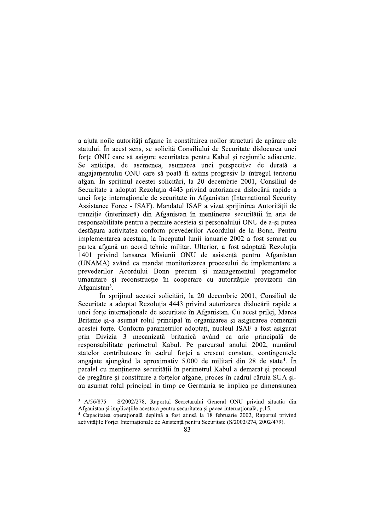a ajuta noile autorități afgane în constituirea noilor structuri de apărare ale statului. În acest sens, se solicită Consiliului de Securitate dislocarea unei forte ONU care să asigure securitatea pentru Kabul și regiunile adiacente. Se anticipa, de asemenea, asumarea unei perspective de durată a angajamentului ONU care să poată fi extins progresiv la întregul teritoriu afgan. În sprijinul acestei solicitări, la 20 decembrie 2001, Consiliul de Securitate a adoptat Rezoluția 4443 privind autorizarea dislocării rapide a unei forte internationale de securitate în Afganistan (International Security Assistance Force - ISAF). Mandatul ISAF a vizat sprijinirea Autorității de tranziție (interimară) din Afganistan în menținerea securității în aria de responsabilitate pentru a permite acesteia si personalului ONU de a-si putea desfășura activitatea conform prevederilor Acordului de la Bonn. Pentru implementarea acestuia, la începutul lunii ianuarie 2002 a fost semnat cu partea afgană un acord tehnic militar. Ulterior, a fost adoptată Rezoluția 1401 privind lansarea Misiunii ONU de asistență pentru Afganistan (UNAMA) având ca mandat monitorizarea procesului de implementare a prevederilor Acordului Bonn precum și managementul programelor umanitare si reconstructie în cooperare cu autoritătile provizorii din Afganistan<sup>3</sup>.

În sprijinul acestei solicitări, la 20 decembrie 2001, Consiliul de Securitate a adoptat Rezoluția 4443 privind autorizarea dislocării rapide a unei forțe internaționale de securitate în Afganistan. Cu acest prilej, Marea Britanie și-a asumat rolul principal în organizarea și asigurarea comenzii acestei forte. Conform parametrilor adoptati, nucleul ISAF a fost asigurat prin Divizia 3 mecanizată britanică având ca arie principală de responsabilitate perimetrul Kabul. Pe parcursul anului 2002, numărul statelor contributoare în cadrul forței a crescut constant, contingentele angajate ajungând la aproximativ 5.000 de militari din 28 de state<sup>4</sup>. În paralel cu menținerea securității în perimetrul Kabul a demarat și procesul de pregătire și constituire a forțelor afgane, proces în cadrul căruia SUA șiau asumat rolul principal în timp ce Germania se implica pe dimensiunea

<sup>&</sup>lt;sup>3</sup> A/56/875 - S/2002/278, Raportul Secretarului General ONU privind situația din Afganistan și implicațiile acestora pentru securitatea și pacea internațională, p.15.

<sup>&</sup>lt;sup>4</sup> Capacitatea operatională deplină a fost atinsă la 18 februarie 2002, Raportul privind activitățile Forței Internaționale de Asistență pentru Securitate (S/2002/274, 2002/479).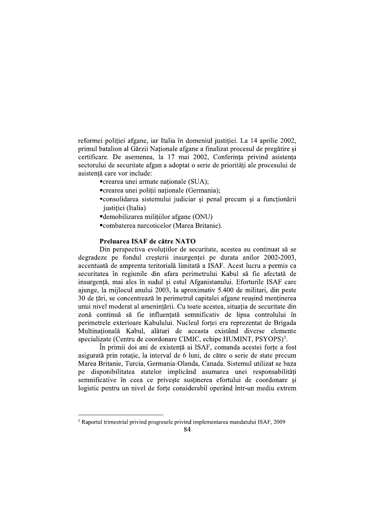reformei poliției afgane, iar Italia în domeniul justiției. La 14 aprilie 2002, primul batalion al Gărzii Nationale afgane a finalizat procesul de pregătire si certificare. De asemenea, la 17 mai 2002, Conferinta privind asistenta sectorului de securitate afgan a adoptat o serie de priorități ale procesului de asistentă care vor include:

- "crearea unei armate naționale (SUA);
- "crearea unei politii nationale (Germania);
- "consolidarea sistemului judiciar și penal precum și a funcționării justiției (Italia)
- **-**demobilizarea militiilor afgane (ONU)
- ■combaterea narcoticelor (Marea Britanie).

# Preluarea ISAF de către NATO

Din perspectiva evoluțiilor de securitate, acestea au continuat să se degradeze pe fondul creșterii insurgenței pe durata anilor 2002-2003, accentuată de amprenta teritorială limitată a ISAF. Acest lucru a permis ca securitatea în regiunile din afara perimetrului Kabul să fie afectată de insurgență, mai ales în sudul și estul Afganistanului. Eforturile ISAF care ajunge, la mijlocul anului 2003, la aproximativ 5.400 de militari, din peste 30 de țări, se concentrează în perimetrul capitalei afgane reușind menținerea unui nivel moderat al amenințării. Cu toate acestea, situația de securitate din zonă continuă să fie influentată semnificativ de lipsa controlului în perimetrele exterioare Kabulului. Nucleul forței era reprezentat de Brigada Multinatională Kabul, alături de aceasta existând diverse elemente specializate (Centru de coordonare CIMIC, echipe HUMINT, PSYOPS)<sup>5</sup>.

În primii doi ani de existență ai ISAF, comanda acestei forțe a fost asigurată prin rotatie, la interval de 6 luni, de către o serie de state precum Marea Britanie, Turcia, Germania-Olanda, Canada. Sistemul utilizat se baza pe disponibilitatea statelor implicând asumarea unei responsabilități semnificative în ceea ce priveste sustinerea efortului de coordonare si logistic pentru un nivel de forțe considerabil operând într-un mediu extrem

<sup>&</sup>lt;sup>5</sup> Raportul trimestrial privind progresele privind implementarea mandatului ISAF, 2009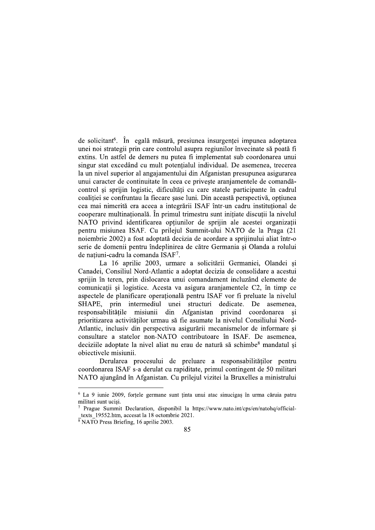de solicitant<sup>6</sup>. În egală măsură, presiunea insurgenței impunea adoptarea unei noi strategii prin care controlul asupra regiunilor învecinate să poată fi extins. Un astfel de demers nu putea fi implementat sub coordonarea unui singur stat excedând cu mult potențialul individual. De asemenea, trecerea la un nivel superior al angajamentului din Afganistan presupunea asigurarea unui caracter de continuitate în ceea ce privește aranjamentele de comandăcontrol și sprijin logistic, dificultăți cu care statele participante în cadrul coalitiei se confruntau la fiecare sase luni. Din această perspectivă, optiunea cea mai nimerită era aceea a integrării ISAF într-un cadru instituțional de cooperare multinațională. În primul trimestru sunt inițiate discuții la nivelul NATO privind identificarea optiunilor de sprijin ale acestei organizatii pentru misiunea ISAF. Cu prilejul Summit-ului NATO de la Praga (21 noiembrie 2002) a fost adoptată decizia de acordare a sprijinului aliat într-o serie de domenii pentru îndeplinirea de către Germania și Olanda a rolului de natiuni-cadru la comanda ISAF<sup>7</sup>.

La 16 aprilie 2003, urmare a solicitării Germaniei, Olandei si Canadei, Consiliul Nord-Atlantic a adoptat decizia de consolidare a acestui sprijin în teren, prin dislocarea unui comandament incluzând elemente de comunicatii si logistice. Acesta va asigura aranjamentele C2, în timp ce aspectele de planificare operatională pentru ISAF vor fi preluate la nivelul SHAPE, prin intermediul unei structuri dedicate. De asemenea, responsabilitățile misiunii din Afganistan privind coordonarea si prioritizarea activităților urmau să fie asumate la nivelul Consiliului Nord-Atlantic, inclusiv din perspectiva asigurării mecanismelor de informare si consultare a statelor non-NATO contributoare în ISAF. De asemenea, deciziile adoptate la nivel aliat nu erau de natură să schimbe<sup>8</sup> mandatul si obiectivele misiunii.

Derularea procesului de preluare a responsabilităților pentru coordonarea ISAF s-a derulat cu rapiditate, primul contingent de 50 militari NATO ajungând în Afganistan. Cu prilejul vizitei la Bruxelles a ministrului

<sup>&</sup>lt;sup>6</sup> La 9 iunie 2009, fortele germane sunt tinta unui atac sinucigas în urma căruia patru militari sunt ucisi.

Prague Summit Declaration, disponibil la https://www.nato.int/cps/en/natohq/officialtexts 19552.htm, accesat la 18 octombrie 2021.

 $\sqrt[8]{\text{NATO}}$  Press Briefing, 16 aprilie 2003.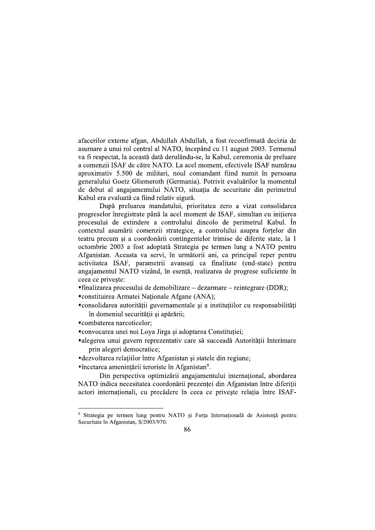afacerilor externe afgan, Abdullah Abdullah, a fost reconfirmată decizia de asumare a unui rol central al NATO, începând cu 11 august 2003. Termenul va fi respectat, la această dată derulându-se, la Kabul, ceremonia de preluare a comenzii ISAF de către NATO. La acel moment, efectivele ISAF numărau aproximativ 5.500 de militari, noul comandant fiind numit în persoana generalului Goetz Gliemeroth (Germania). Potrivit evaluărilor la momentul de debut al angajamentului NATO, situația de securitate din perimetrul Kabul era evaluată ca fiind relativ sigură.

După preluarea mandatului, prioritatea zero a vizat consolidarea progreselor înregistrate până la acel moment de ISAF, simultan cu inițierea procesului de extindere a controlului dincolo de perimetrul Kabul. În contextul asumării comenzii strategice, a controlului asupra forțelor din teatru precum si a coordonării contingentelor trimise de diferite state, la 1 octombrie 2003 a fost adoptată Strategia pe termen lung a NATO pentru Afganistan. Aceasta va servi, în următorii ani, ca principal reper pentru activitatea ISAF, parametrii avansati ca finalitate (end-state) pentru angajamentul NATO vizând, în esență, realizarea de progrese suficiente în ceea ce priveste:

 $\blacksquare$ finalizarea procesului de demobilizare — dezarmare — reintegrare (DDR);

■constituirea Armatei Nationale Afgane (ANA);

• consolidarea autorității guvernamentale și a instituțiilor cu responsabilități în domeniul securității și apărării;

■combaterea narcoticelor:

"convocarea unei noi Loya Jirga și adoptarea Constituției;

alegerea unui guvern reprezentativ care să succeadă Autorității Interimare prin alegeri democratice;

■ dezvoltarea relațiilor între Afganistan și statele din regiune;

"încetarea amenințării teroriste în Afganistan<sup>9</sup>.

Din perspectiva optimizării angajamentului internațional, abordarea NATO indica necesitatea coordonării prezentei din Afganistan între diferitii actori internaționali, cu precădere în ceea ce privește relația între ISAF-

<sup>&</sup>lt;sup>9</sup> Strategia pe termen lung pentru NATO și Forța Internațională de Asistență pentru Securitate în Afganistan, S/2003/970.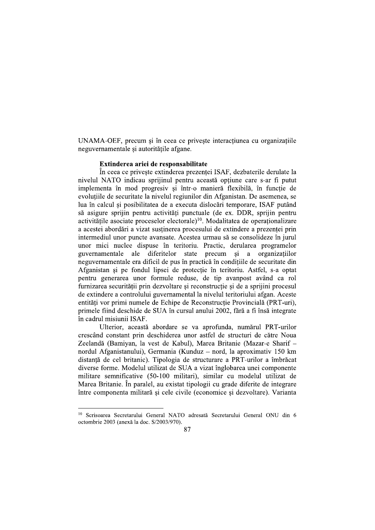UNAMA-OEF, precum și în ceea ce privește interacțiunea cu organizațiile neguvernamentale si autoritătile afgane.

### Extinderea ariei de responsabilitate

În ceea ce privește extinderea prezenței ISAF, dezbaterile derulate la nivelul NATO indicau sprijinul pentru această opțiune care s-ar fi putut implementa în mod progresiv și într-o manieră flexibilă, în funcție de evolutiile de securitate la nivelul regiunilor din Afganistan. De asemenea, se lua în calcul si posibilitatea de a executa dislocări temporare. ISAF putând să asigure sprijin pentru activități punctuale (de ex. DDR, sprijin pentru activitățile asociate proceselor electorale)<sup>10</sup>. Modalitatea de operationalizare a acestei abordări a vizat susținerea procesului de extindere a prezenței prin intermediul unor puncte avansate. Acestea urmau să se consolideze în jurul unor mici nuclee dispuse în teritoriu. Practic, derularea programelor diferitelor state precum si a organizatiilor guvernamentale ale neguvernamentale era dificil de pus în practică în condițiile de securitate din Afganistan și pe fondul lipsei de protecție în teritoriu. Astfel, s-a optat pentru generarea unor formule reduse, de tip avanpost având ca rol furnizarea securității prin dezvoltare și reconstrucție și de a sprijini procesul de extindere a controlului guvernamental la nivelul teritoriului afgan. Aceste entități vor primi numele de Echipe de Reconstrucție Provincială (PRT-uri), primele fiind deschide de SUA în cursul anului 2002, fără a fi însă integrate în cadrul misiunii ISAF.

Ulterior, această abordare se va aprofunda, numărul PRT-urilor crescând constant prin deschiderea unor astfel de structuri de către Noua Zeelandă (Bamiyan, la vest de Kabul), Marea Britanie (Mazar-e Sharif nordul Afganistanului), Germania (Kunduz – nord, la aproximativ 150 km distantă de cel britanic). Tipologia de structurare a PRT-urilor a îmbrăcat diverse forme. Modelul utilizat de SUA a vizat înglobarea unei componente militare semnificative (50-100 militari), similar cu modelul utilizat de Marea Britanie. În paralel, au existat tipologii cu grade diferite de integrare între componenta militară si cele civile (economice si dezvoltare). Varianta

<sup>&</sup>lt;sup>10</sup> Scrisoarea Secretarului General NATO adresată Secretarului General ONU din 6 octombrie 2003 (anexă la doc. S/2003/970).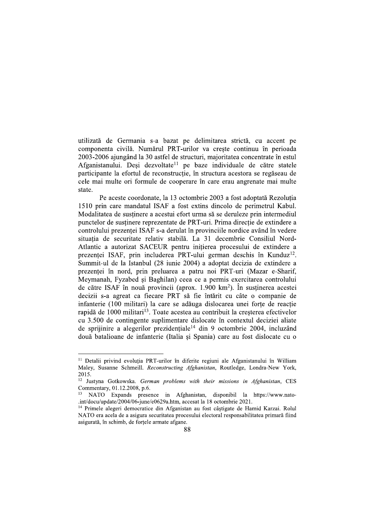utilizată de Germania s-a bazat pe delimitarea strictă, cu accent pe componenta civilă. Numărul PRT-urilor va crește continuu în perioada 2003-2006 ajungând la 30 astfel de structuri, majoritatea concentrate în estul Afganistanului. Deși dezvoltate<sup>11</sup> pe baze individuale de către statele participante la efortul de reconstructie, în structura acestora se regăseau de cele mai multe ori formule de cooperare în care erau angrenate mai multe state.

Pe aceste coordonate, la 13 octombrie 2003 a fost adoptată Rezolutia 1510 prin care mandatul ISAF a fost extins dincolo de perimetrul Kabul. Modalitatea de sustinere a acestui efort urma să se deruleze prin intermediul punctelor de sustinere reprezentate de PRT-uri. Prima directie de extindere a controlului prezenței ISAF s-a derulat în provinciile nordice având în vedere situatia de securitate relativ stabilă. La 31 decembrie Consiliul Nord-Atlantic a autorizat SACEUR pentru inițierea procesului de extindere a prezenței ISAF, prin includerea PRT-ului german deschis în Kunduz<sup>12</sup>. Summit-ul de la Istanbul (28 iunie 2004) a adoptat decizia de extindere a prezentei în nord, prin preluarea a patru noi PRT-uri (Mazar e-Sharif, Meymanah, Fyzabed si Baghilan) ceea ce a permis exercitarea controlului de către ISAF în nouă provincii (aprox. 1.900 km<sup>2</sup>). În sustinerea acestei decizii s-a agreat ca fiecare PRT să fie întărit cu câte o companie de infanterie (100 militari) la care se adăuga dislocarea unei forte de reactie rapidă de 1000 militari<sup>13</sup>. Toate acestea au contribuit la creșterea efectivelor cu 3.500 de contingente suplimentare dislocate în contextul deciziei aliate de sprijinire a alegerilor prezidentiale<sup>14</sup> din 9 octombrie 2004, incluzând două batalioane de infanterie (Italia si Spania) care au fost dislocate cu o

<sup>&</sup>lt;sup>11</sup> Detalii privind evoluția PRT-urilor în diferite regiuni ale Afganistanului în William Maley, Susanne Schmeill. Reconstructing Afghanistan, Routledge, Londra-New York, 2015.

<sup>&</sup>lt;sup>12</sup> Justyna Gotkowska. German problems with their missions in Afghanistan, CES Commentary, 01.12.2008, p.6.

NATO Expands presence in Afghanistan, disponibil la https://www.nato-.int/docu/update/2004/06-june/e0629a.htm, accesat la 18 octombrie 2021.

<sup>&</sup>lt;sup>14</sup> Primele alegeri democratice din Afganistan au fost câștigate de Hamid Karzai. Rolul NATO era acela de a asigura securitatea procesului electoral responsabilitatea primară fiind asigurată, în schimb, de forțele armate afgane.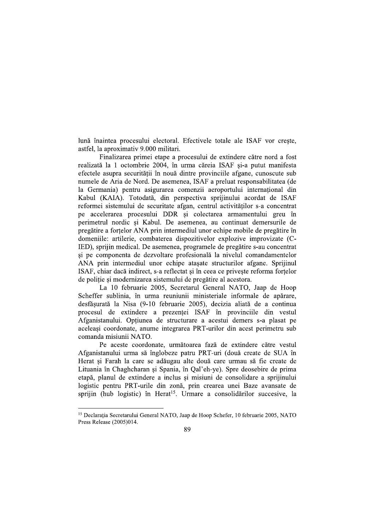lună înaintea procesului electoral. Efectivele totale ale ISAF vor crește, astfel, la aproximativ 9.000 militari.

Finalizarea primei etape a procesului de extindere către nord a fost realizată la 1 octombrie 2004, în urma căreia ISAF și-a putut manifesta efectele asupra securității în nouă dintre provinciile afgane, cunoscute sub numele de Aria de Nord. De asemenea, ISAF a preluat responsabilitatea (de la Germania) pentru asigurarea comenzii aeroportului internațional din Kabul (KAIA). Totodată, din perspectiva sprijinului acordat de ISAF reformei sistemului de securitate afgan, centrul activităților s-a concentrat pe accelerarea procesului DDR și colectarea armamentului greu în perimetrul nordic si Kabul. De asemenea, au continuat demersurile de pregătire a forțelor ANA prin intermediul unor echipe mobile de pregătire în domeniile: artilerie, combaterea dispozitivelor explozive improvizate (C-IED), sprijin medical. De asemenea, programele de pregătire s-au concentrat și pe componenta de dezvoltare profesională la nivelul comandamentelor ANA prin intermediul unor echipe atasate structurilor afgane. Sprijinul ISAF, chiar dacă indirect, s-a reflectat și în ceea ce privește reforma forțelor de politie si modernizarea sistemului de pregătire al acestora.

La 10 februarie 2005, Secretarul General NATO, Jaap de Hoop Scheffer sublinia, în urma reuniunii ministeriale informale de apărare, desfăsurată la Nisa (9-10 februarie 2005), decizia aliată de a continua procesul de extindere a prezenței ISAF în provinciile din vestul Afganistanului. Opțiunea de structurare a acestui demers s-a plasat pe aceleasi coordonate, anume integrarea PRT-urilor din acest perimetru sub comanda misiunii NATO.

Pe aceste coordonate, următoarea fază de extindere către vestul Afganistanului urma să înglobeze patru PRT-uri (două create de SUA în Herat și Farah la care se adăugau alte două care urmau să fie create de Lituania în Chaghcharan și Spania, în Qal'eh-ye). Spre deosebire de prima etapă, planul de extindere a inclus și misiuni de consolidare a sprijinului logistic pentru PRT-urile din zonă, prin crearea unei Baze avansate de sprijin (hub logistic) în Herat<sup>15</sup>. Urmare a consolidărilor succesive, la

<sup>&</sup>lt;sup>15</sup> Declaratia Secretarului General NATO, Jaap de Hoop Schefer, 10 februarie 2005, NATO Press Release (2005)014.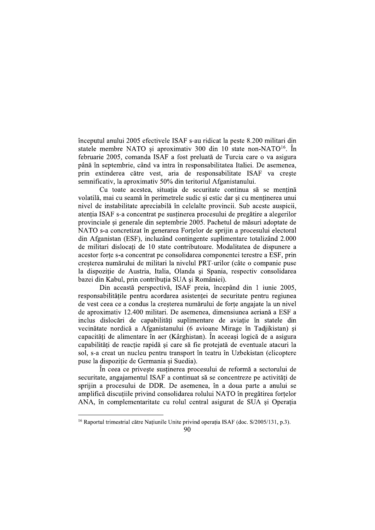începutul anului 2005 efectivele ISAF s-au ridicat la peste 8.200 militari din statele membre NATO si aproximativ 300 din 10 state non-NATO<sup>16</sup>. In februarie 2005, comanda ISAF a fost preluată de Turcia care o va asigura până în septembrie, când va intra în responsabilitatea Italiei. De asemenea, prin extinderea către vest, aria de responsabilitate ISAF va creste semnificativ, la aproximativ 50% din teritoriul Afganistanului.

Cu toate acestea, situația de securitate continua să se mențină volatilă, mai cu seamă în perimetrele sudic și estic dar și cu mentinerea unui nivel de instabilitate apreciabilă în celelalte provincii. Sub aceste auspicii, atenția ISAF s-a concentrat pe susținerea procesului de pregătire a alegerilor provinciale si generale din septembrie 2005. Pachetul de măsuri adoptate de NATO s-a concretizat în generarea Fortelor de sprijin a procesului electoral din Afganistan (ESF), incluzând contingente suplimentare totalizând 2.000 de militari dislocați de 10 state contributoare. Modalitatea de dispunere a acestor forte s-a concentrat pe consolidarea componentei terestre a ESF, prin cresterea numărului de militari la nivelul PRT-urilor (câte o companie puse la dispoziție de Austria, Italia, Olanda și Spania, respectiv consolidarea bazei din Kabul, prin contributia SUA si României).

Din această perspectivă, ISAF preia, începând din 1 iunie 2005, responsabilitățile pentru acordarea asistenței de securitate pentru regiunea de vest ceea ce a condus la cresterea numărului de forte angajate la un nivel de aproximativ 12.400 militari. De asemenea, dimensiunea aeriană a ESF a inclus dislocări de capabilități suplimentare de aviație în statele din vecinătate nordică a Afganistanului (6 avioane Mirage în Tadjikistan) și capacităti de alimentare în aer (Kârghistan). În aceeasi logică de a asigura capabilități de reacție rapidă și care să fie protejată de eventuale atacuri la sol, s-a creat un nucleu pentru transport în teatru în Uzbekistan (elicoptere puse la dispoziție de Germania și Suedia).

În ceea ce priveste sustinerea procesului de reformă a sectorului de securitate, angajamentul ISAF a continuat să se concentreze pe activități de sprijin a procesului de DDR. De asemenea, în a doua parte a anului se amplifică discutiile privind consolidarea rolului NATO în pregătirea fortelor ANA, în complementaritate cu rolul central asigurat de SUA și Operația

<sup>&</sup>lt;sup>16</sup> Raportul trimestrial către Națiunile Unite privind operația ISAF (doc. S/2005/131, p.3).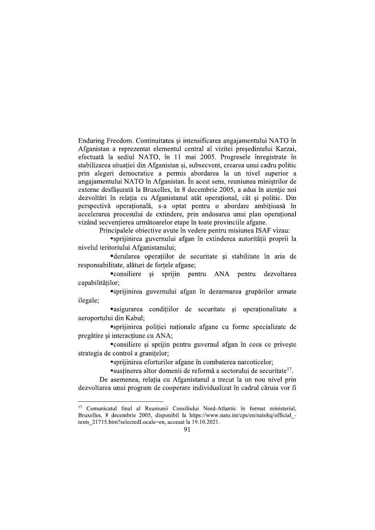Enduring Freedom. Continuitatea si intensificarea angajamentului NATO în Afganistan a reprezentat elementul central al vizitei presedintelui Karzai, efectuată la sediul NATO, în 11 mai 2005. Progresele înregistrate în stabilizarea situației din Afganistan și, subsecvent, crearea unui cadru politic prin alegeri democratice a permis abordarea la un nivel superior a angajamentului NATO în Afganistan. În acest sens, reuniunea miniștrilor de externe desfășurată la Bruxelles, în 8 decembrie 2005, a adus în atenție noi dezvoltări în relatia cu Afganistanul atât operational, cât și politic. Din perspectivă operațională, s-a optat pentru o abordare ambițioasă în accelerarea procesului de extindere, prin andosarea unui plan operational vizând secventierea următoarelor etape în toate provinciile afgane.

Principalele obiective avute în vedere pentru misiunea ISAF vizau:

"sprijinirea guvernului afgan în extinderea autorității proprii la nivelul teritoriului Afganistanului;

"derularea operațiilor de securitate și stabilitate în aria de responsabilitate, alături de forțele afgane;

"consiliere si sprijin pentru ANA nentru dezvoltarea capabilităților;

"sprijinirea guvernului afgan în dezarmarea grupărilor armate ilegale;

"asigurarea conditiilor de securitate si operationalitate a aeroportului din Kabul;

"sprijinirea poliției naționale afgane cu forme specializate de pregătire și interacțiune cu ANA:

• consiliere și sprijin pentru guvernul afgan în ceea ce privește strategia de control a granitelor;

"sprijinirea eforturilor afgane în combaterea narcoticelor;

"sustinerea altor domenii de reformă a sectorului de securitate<sup>17</sup>.

De asemenea, relatia cu Afganistanul a trecut la un nou nivel prin dezvoltarea unui program de cooperare individualizat în cadrul căruia vor fi

<sup>&</sup>lt;sup>17</sup> Comunicatul final al Reuniunii Consiliului Nord-Atlantic în format ministerial, Bruxelles, 8 decembrie 2005, disponibil la https://www.nato.int/cps/en/natohq/official texts 21715.htm?selectedLocale=en, accesat la 19.10.2021.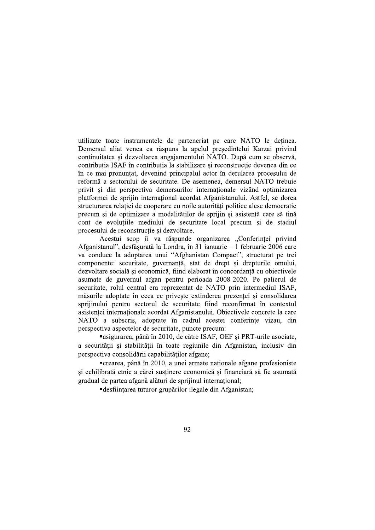utilizate toate instrumentele de parteneriat pe care NATO le deținea. Demersul aliat venea ca răspuns la apelul presedintelui Karzai privind continuitatea si dezvoltarea angajamentului NATO. După cum se observă. contribuția ISAF în contribuția la stabilizare și reconstrucție devenea din ce în ce mai pronuntat, devenind principalul actor în derularea procesului de reformă a sectorului de securitate. De asemenea, demersul NATO trebuie privit și din perspectiva demersurilor internaționale vizând optimizarea platformei de spriiin international acordat Afganistanului. Astfel, se dorea structurarea relației de cooperare cu noile autorități politice alese democratic precum și de optimizare a modalităților de sprijin și asistență care să țină cont de evolutiile mediului de securitate local precum si de stadiul procesului de reconstrucție și dezvoltare.

Acestui scop îi va răspunde organizarea "Conferinței privind Afganistanul", desfășurată la Londra, în 31 ianuarie - 1 februarie 2006 care va conduce la adoptarea unui "Afghanistan Compact", structurat pe trei componente: securitate, guvernanță, stat de drept și drepturile omului, dezvoltare socială și economică, fiind elaborat în concordanță cu obiectivele asumate de guvernul afgan pentru perioada 2008-2020. Pe palierul de securitate, rolul central era reprezentat de NATO prin intermediul ISAF, măsurile adoptate în ceea ce privește extinderea prezenței și consolidarea sprijinului pentru sectorul de securitate fiind reconfirmat în contextul asistenței internaționale acordat Afganistanului. Obiectivele concrete la care NATO a subscris, adoptate în cadrul acestei conferințe vizau, din perspectiva aspectelor de securitate, puncte precum:

"asigurarea, până în 2010, de către ISAF, OEF și PRT-urile asociate, a securității și stabilității în toate regiunile din Afganistan, inclusiv din perspectiva consolidării capabilităților afgane;

•crearea, până în 2010, a unei armate nationale afgane profesioniste si echilibrată etnic a cărei susținere economică și financiară să fie asumată gradual de partea afgană alături de sprijinul internațional;

■ desfiintarea tuturor grupărilor ilegale din Afganistan;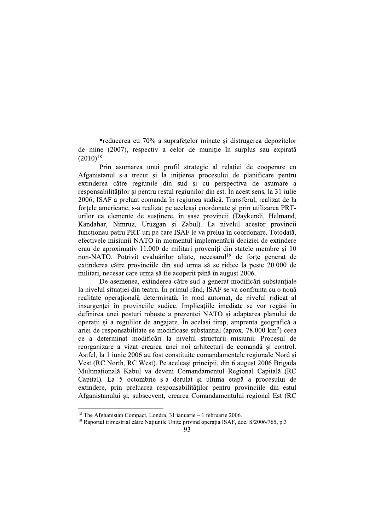■reducerea cu 70% a suprafețelor minate și distrugerea depozitelor de mine (2007), respectiv a celor de munitie în surplus sau expirată  $(2010)^{18}$ .

Prin asumarea unui profil strategic al relației de cooperare cu Afganistanul s-a trecut și la inițierea procesului de planificare pentru extinderea către regiunile din sud si cu perspectiva de asumare a responsabilităților și pentru restul regiunilor din est. În acest sens, la 31 iulie 2006, ISAF a preluat comanda în regiunea sudică. Transferul, realizat de la forțele americane, s-a realizat pe aceleași coordonate și prin utilizarea PRTurilor ca elemente de susținere, în șase provincii (Daykundi, Helmand, Kandahar, Nimruz, Uruzgan si Zabul). La nivelul acestor provincii functionau patru PRT-uri pe care ISAF le va prelua în coordonare. Totodată, efectivele misiunii NATO în momentul implementării deciziei de extindere erau de aproximativ 11.000 de militari proveniți din statele membre și 10 non-NATO. Potrivit evaluărilor aliate, necesarul<sup>19</sup> de forțe generat de extinderea către provinciile din sud urma să se ridice la peste 20.000 de militari, necesar care urma să fie acoperit până în august 2006.

De asemenea, extinderea către sud a generat modificări substantiale la nivelul situatiei din teatru. În primul rând, ISAF se va confrunta cu o nouă realitate operațională determinată, în mod automat, de nivelul ridicat al insurgentei în provinciile sudice. Implicatiile imediate se vor regăsi în definirea unei posturi robuste a prezentei NATO si adaptarea planului de operații și a regulilor de angajare. În același timp, amprenta geografică a ariei de responsabilitate se modificase substantial (aprox.  $78.000 \text{ km}^2$ ) ceea ce a determinat modificări la nivelul structurii misiunii. Procesul de reorganizare a vizat crearea unei noi arhitecturi de comandă și control. Astfel, la 1 iunie 2006 au fost constituite comandamentele regionale Nord și Vest (RC North, RC West). Pe aceleasi principii, din 6 august 2006 Brigada Multinatională Kabul va deveni Comandamentul Regional Capitală (RC Capital). La 5 octombrie s-a derulat și ultima etapă a procesului de extindere, prin preluarea responsabilităților pentru provinciile din estul Afganistanului și, subsecvent, crearea Comandamentului regional Est (RC

<sup>&</sup>lt;sup>18</sup> The Afghanistan Compact, Londra, 31 ianuarie – 1 februarie 2006.

<sup>&</sup>lt;sup>19</sup> Raportul trimestrial către Națiunile Unite privind operația ISAF, doc. S/2006/765, p.3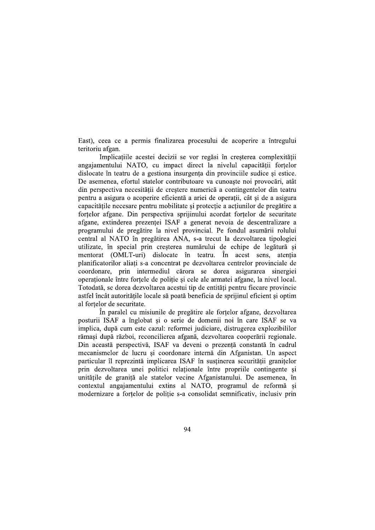East), ceea ce a permis finalizarea procesului de acoperire a întregului teritoriu afgan.

Implicatiile acestei decizii se vor regăsi în cresterea complexitătii angajamentului NATO, cu impact direct la nivelul capacității forțelor dislocate în teatru de a gestiona insurgenta din provinciile sudice si estice. De asemenea, efortul statelor contributoare va cunoaște noi provocări, atât din perspectiva necesității de creștere numerică a contingentelor din teatru pentru a asigura o acoperire eficientă a ariei de operații, cât și de a asigura capacitățile necesare pentru mobilitate și protecție a acțiunilor de pregătire a fortelor afgane. Din perspectiva sprijinului acordat fortelor de securitate afgane, extinderea prezenței ISAF a generat nevoia de descentralizare a programului de pregătire la nivel provincial. Pe fondul asumării rolului central al NATO în pregătirea ANA, s-a trecut la dezvoltarea tipologiei utilizate, în special prin cresterea numărului de echipe de legătură și mentorat (OMLT-uri) dislocate în teatru. În acest sens, atenția planificatorilor aliati s-a concentrat pe dezvoltarea centrelor provinciale de coordonare, prin intermediul cărora se dorea asigurarea sinergiei operationale între forțele de poliție și cele ale armatei afgane, la nivel local. Totodată, se dorea dezvoltarea acestui tip de entităti pentru fiecare provincie astfel încât autoritățile locale să poată beneficia de sprijinul eficient și optim al fortelor de securitate.

În paralel cu misiunile de pregătire ale forțelor afgane, dezvoltarea posturii ISAF a înglobat și o serie de domenii noi în care ISAF se va implica, după cum este cazul: reformei judiciare, distrugerea explozibililor rămasi după război, reconcilierea afgană, dezvoltarea cooperării regionale. Din această perspectivă, ISAF va deveni o prezență constantă în cadrul mecanismelor de lucru și coordonare internă din Afganistan. Un aspect particular îl reprezintă implicarea ISAF în susținerea securității granițelor prin dezvoltarea unei politici relationale între propriile contingente și unitățile de graniță ale statelor vecine Afganistanului. De asemenea, în contextul angajamentului extins al NATO, programul de reformă și modernizare a fortelor de politie s-a consolidat semnificativ, inclusiv prin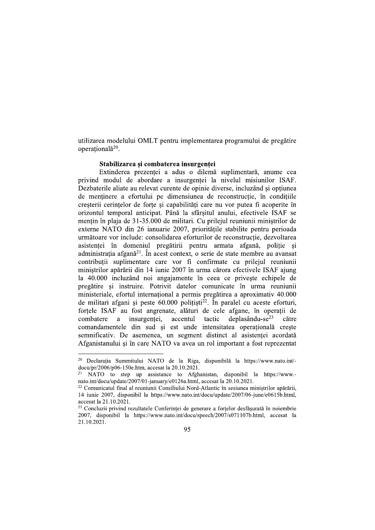utilizarea modelului OMLT pentru implementarea programului de pregătire operatională<sup>20</sup>.

#### Stabilizarea si combaterea insurgentei

Extinderea prezentei a adus o dilemă suplimentară, anume cea privind modul de abordare a insurgentei la nivelul misiunilor ISAF. Dezbaterile aliate au relevat curente de opinie diverse, incluzând și opțiunea de mentinere a efortului pe dimensiunea de reconstructie, în conditiile cresterii cerintelor de forte si capabilități care nu vor putea fi acoperite în orizontul temporal anticipat. Până la sfârșitul anului, efectivele ISAF se mentin în plaja de 31-35.000 de militari. Cu prilejul reuniunii ministrilor de externe NATO din 26 ianuarie 2007, prioritățile stabilite pentru perioada următoare vor include: consolidarea eforturilor de reconstrucție, dezvoltarea asistentei în domeniul pregătirii pentru armata afgană, politie și administrația afgană<sup>21</sup>. În acest context, o serie de state membre au avansat contribuții suplimentare care vor fi confirmate cu prilejul reuniunii miniștrilor apărării din 14 iunie 2007 în urma cărora efectivele ISAF ajung la 40.000 incluzând noi angajamente în ceea ce priveste echipele de pregătire și instruire. Potrivit datelor comunicate în urma reuniunii ministeriale, efortul internațional a permis pregătirea a aproximativ 40.000 de militari afgani și peste  $60.000$  polițiști<sup>22</sup>. În paralel cu aceste eforturi, fortele ISAF au fost angrenate, alături de cele afgane, în operatii de deplasându-se $^{23}$ combatere a insurgentei, accentul tactic către comandamentele din sud și est unde intensitatea operațională crește semnificativ. De asemenea, un segment distinct al asistentei acordată Afganistanului si în care NATO va avea un rol important a fost reprezentat

<sup>&</sup>lt;sup>20</sup> Declarația Summitului NATO de la Riga, disponibilă la https://www.nato.int/docu/pr/2006/p06-150e.htm, accesat la 20.10.2021.

NATO to step up assistance to Afghanistan, disponibil la https://www.nato.int/docu/update/2007/01-january/e0126a.html, accesat la 20.10.2021.

<sup>&</sup>lt;sup>22</sup> Comunicatul final al reuniunii Consiliului Nord-Atlantic în sesiunea miniștrilor apărării, 14 iunie 2007, disponibil la https://www.nato.int/docu/update/2007/06-june/e0615b.html, accesat la 21.10.2021.

<sup>&</sup>lt;sup>23</sup> Concluzii privind rezultatele Conferintei de generare a fortelor desfăsurată în noiembrie 2007, disponibil la https://www.nato.int/docu/speech/2007/s071107b.html, accesat la 21.10.2021.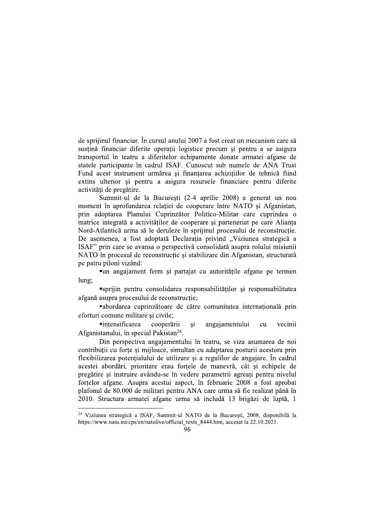de sprijinul financiar. În cursul anului 2007 a fost creat un mecanism care să sustină financiar diferite operatii logistice precum si pentru a se asigura transportul în teatru a diferitelor echipamente donate armatei afgane de statele participante în cadrul ISAF. Cunoscut sub numele de ANA Trust Fund acest instrument urmărea și finantarea achizitiilor de tehnică fiind extins ulterior și pentru a asigura resursele financiare pentru diferite activități de pregătire.

Summit-ul de la Bucuresti (2-4 aprilie 2008) a generat un nou moment în aprofundarea relației de cooperare între NATO și Afganistan, prin adoptarea Planului Cuprinzător Politico-Militar care cuprindea o matrice integrată a activităților de cooperare și parteneriat pe care Alianta Nord-Atlantică urma să le deruleze în sprijinul procesului de reconstrucție. De asemenea, a fost adoptată Declaratia privind "Viziunea strategică a ISAF" prin care se avansa o perspectivă consolidată asupra rolului misiunii NATO în procesul de reconstructie si stabilizare din Afganistan, structurată pe patru piloni vizând:

•un angajament ferm și partajat cu autoritățile afgane pe termen lung;

"sprijin pentru consolidarea responsabilităților și responsabilitatea afgană asupra procesului de reconstrucție;

"abordarea cuprinzătoare de către comunitatea internațională prin eforturi comune militare și civile;

**•**intensificarea cooperării si angajamentului vecinii cu Afganistanului, în special Pakistan<sup>24</sup>.

Din perspectiva angajamentului în teatru, se viza asumarea de noi contribuții cu forțe și mijloace, simultan cu adaptarea posturii acestora prin flexibilizarea potențialului de utilizare și a regulilor de angajare. În cadrul acestei abordări, prioritare erau fortele de manevră, cât și echipele de pregătire si instruire avându-se în vedere parametrii agreati pentru nivelul fortelor afgane. Asupra acestui aspect, în februarie 2008 a fost aprobat plafonul de 80.000 de militari pentru ANA care urma să fie realizat până în 2010. Structura armatei afgane urma să includă 13 brigăzi de luptă, 1

<sup>&</sup>lt;sup>24</sup> Viziunea strategică a ISAF, Summit-ul NATO de la București, 2008, disponibilă la https://www.nato.int/cps/en/natolive/official texts 8444.htm, accesat la 22.10.2021.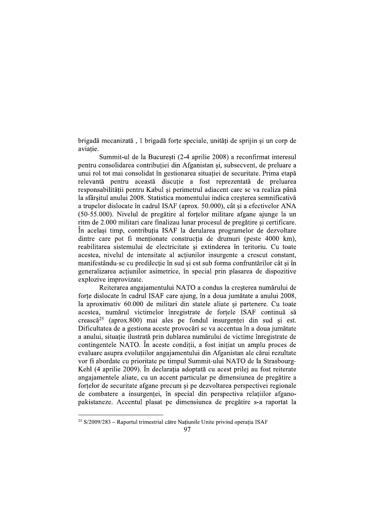brigadă mecanizată, 1 brigadă forțe speciale, unități de sprijin și un corp de aviatie.

Summit-ul de la Bucuresti (2-4 aprilie 2008) a reconfirmat interesul pentru consolidarea contribuției din Afganistan și, subsecvent, de preluare a unui rol tot mai consolidat în gestionarea situatiei de securitate. Prima etapă relevantă pentru această discuție a fost reprezentată de preluarea responsabilității pentru Kabul și perimetrul adiacent care se va realiza până la sfârsitul anului 2008. Statistica momentului indica cresterea semnificativă a trupelor dislocate în cadrul ISAF (aprox. 50.000), cât și a efectivelor ANA (50-55.000). Nivelul de pregătire al fortelor militare afgane ajunge la un ritm de 2.000 militari care finalizau lunar procesul de pregătire și certificare. În același timp, contribuția ISAF la derularea programelor de dezvoltare dintre care pot fi mentionate constructia de drumuri (peste 4000 km), reabilitarea sistemului de electricitate și extinderea în teritoriu. Cu toate acestea, nivelul de intensitate al actiunilor insurgente a crescut constant, manifestându-se cu predilectie în sud și est sub forma confruntărilor cât și în generalizarea actiunilor asimetrice, în special prin plasarea de dispozitive explozive improvizate.

Reiterarea angajamentului NATO a condus la cresterea numărului de forțe dislocate în cadrul ISAF care ajung, în a doua jumătate a anului 2008, la aproximativ 60.000 de militari din statele aliate si partenere. Cu toate acestea, numărul victimelor înregistrate de forțele ISAF continuă să crească<sup>25</sup> (aprox.800) mai ales pe fondul insurgenței din sud și est. Dificultatea de a gestiona aceste provocări se va accentua în a doua jumătate a anului, situatie ilustrată prin dublarea numărului de victime înregistrate de contingentele NATO. In aceste conditii, a fost initiat un amplu proces de evaluare asupra evoluțiilor angajamentului din Afganistan ale cărui rezultate vor fi abordate cu prioritate pe timpul Summit-ului NATO de la Strasbourg-Kehl (4 aprilie 2009). În declarația adoptată cu acest prilej au fost reiterate angajamentele aliate, cu un accent particular pe dimensiunea de pregătire a fortelor de securitate afgane precum si pe dezvoltarea perspectivei regionale de combatere a insurgentei, în special din perspectiva relatiilor afganopakistaneze. Accentul plasat pe dimensiunea de pregătire s-a raportat la

<sup>&</sup>lt;sup>25</sup> S/2009/283 - Raportul trimestrial către Națiunile Unite privind operația ISAF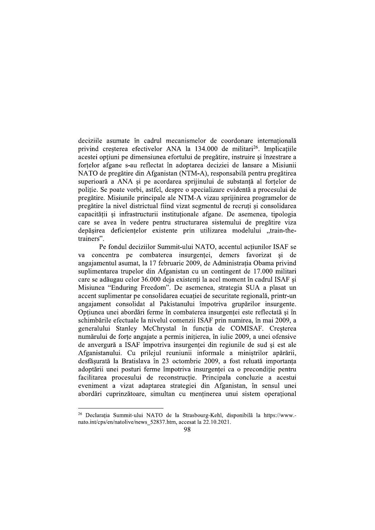deciziile asumate în cadrul mecanismelor de coordonare internatională privind cresterea efectivelor ANA la 134.000 de militari<sup>26</sup>. Implicatiile acestei optiuni pe dimensiunea efortului de pregătire, instruire și înzestrare a fortelor afgane s-au reflectat în adoptarea deciziei de lansare a Misiunii NATO de pregătire din Afganistan (NTM-A), responsabilă pentru pregătirea superioară a ANA și pe acordarea sprijinului de substanță al forțelor de politie. Se poate vorbi, astfel, despre o specializare evidentă a procesului de pregătire. Misiunile principale ale NTM-A vizau sprijinirea programelor de pregătire la nivel districtual fiind vizat segmentul de recruți și consolidarea capacității și infrastructurii instituționale afgane. De asemenea, tipologia care se avea în vedere pentru structurarea sistemului de pregătire viza depășirea deficiențelor existente prin utilizarea modelului "train-thetrainers".

Pe fondul deciziilor Summit-ului NATO, accentul actiunilor ISAF se va concentra pe combaterea insurgenței, demers favorizat și de angajamentul asumat, la 17 februarie 2009, de Administratia Obama privind suplimentarea trupelor din Afganistan cu un contingent de 17.000 militari care se adăugau celor 36.000 deja existenti la acel moment în cadrul ISAF si Misiunea "Enduring Freedom". De asemenea, strategia SUA a plasat un accent suplimentar pe consolidarea ecuației de securitate regională, printr-un angajament consolidat al Pakistanului împotriva grupărilor insurgente. Opțiunea unei abordări ferme în combaterea insurgenței este reflectată și în schimbările efectuale la nivelul comenzii ISAF prin numirea, în mai 2009, a generalului Stanley McChrystal în functia de COMISAF. Cresterea numărului de forte angajate a permis initierea, în iulie 2009, a unei ofensive de anvergură a ISAF împotriva insurgentei din regiunile de sud si est ale Afganistanului. Cu prilejul reuniunii informale a ministrilor apărării, desfășurată la Bratislava în 23 octombrie 2009, a fost reluată importanța adoptării unei posturi ferme împotriva insurgenței ca o precondiție pentru facilitarea procesului de reconstrucție. Principala concluzie a acestui eveniment a vizat adaptarea strategiei din Afganistan, în sensul unei abordări cuprinzătoare, simultan cu mentinerea unui sistem operational

<sup>&</sup>lt;sup>26</sup> Declarația Summit-ului NATO de la Strasbourg-Kehl, disponibilă la https://www.nato.int/cps/en/natolive/news 52837.htm, accesat la 22.10.2021.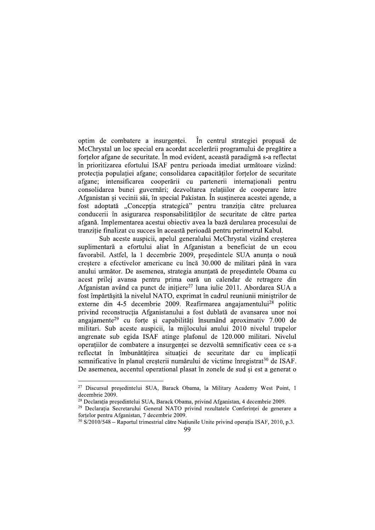optim de combatere a insurgentei. În centrul strategiei propusă de McChrystal un loc special era acordat accelerării programului de pregătire a fortelor afgane de securitate. În mod evident, această paradigmă s-a reflectat în prioritizarea efortului ISAF pentru perioada imediat următoare vizând: protectia populatiei afgane; consolidarea capacitătilor fortelor de securitate afgane; intensificarea cooperării cu partenerii internaționali pentru consolidarea bunei guvernări; dezvoltarea relațiilor de cooperare între Afganistan și vecinii săi, în special Pakistan. În sustinerea acestei agende. a fost adoptată "Concepția strategică" pentru tranziția către preluarea conducerii în asigurarea responsabilităților de securitate de către partea afgană. Implementarea acestui obiectiv avea la bază derularea procesului de tranziție finalizat cu succes în această perioadă pentru perimetrul Kabul.

Sub aceste auspicii, apelul generalului McChrystal vizând cresterea suplimentară a efortului aliat în Afganistan a beneficiat de un ecou favorabil. Astfel, la 1 decembrie 2009, președintele SUA anunța o nouă crestere a efectivelor americane cu încă 30.000 de militari până în vara anului următor. De asemenea, strategia anunțată de președintele Obama cu acest prilej avansa pentru prima oară un calendar de retragere din Afganistan având ca punct de initiere<sup>27</sup> luna iulie 2011. Abordarea SUA a fost împărtășită la nivelul NATO, exprimat în cadrul reuniunii miniștrilor de externe din 4-5 decembrie 2009. Reafirmarea angajamentului<sup>28</sup> politic privind reconstrucția Afganistanului a fost dublată de avansarea unor noi angajamente<sup>29</sup> cu forțe și capabilități însumând aproximativ 7.000 de militari. Sub aceste auspicii, la mijlocului anului 2010 nivelul trupelor angrenate sub egida ISAF atinge plafonul de 120.000 militari. Nivelul operatiilor de combatere a insurgentei se dezvoltă semnificativ ceea ce s-a reflectat în îmbunătățirea situației de securitate dar cu implicații semnificative în planul creșterii numărului de victime înregistrat<sup>30</sup> de ISAF. De asemenea, accentul operational plasat în zonele de sud și est a generat o

<sup>&</sup>lt;sup>27</sup> Discursul președintelui SUA, Barack Obama, la Military Academy West Point, 1 decembrie 2009.

<sup>&</sup>lt;sup>28</sup> Declarația președintelui SUA, Barack Obama, privind Afganistan, 4 decembrie 2009.

<sup>&</sup>lt;sup>29</sup> Declarația Secretarului General NATO privind rezultatele Conferinței de generare a fortelor pentru Afganistan, 7 decembrie 2009.

<sup>&</sup>lt;sup>30</sup> S/2010/548 – Raportul trimestrial către Națiunile Unite privind operația ISAF, 2010, p.3.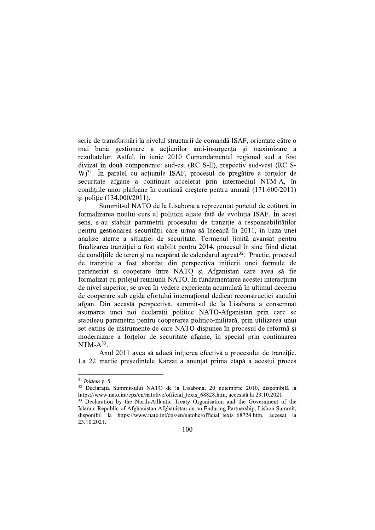serie de transformări la nivelul structurii de comandă ISAF, orientate către o mai bună gestionare a actiunilor anti-insurgentă și maximizare a rezultatelor. Astfel, în iunie 2010 Comandamentul regional sud a fost divizat în două componente: sud-est (RC S-E), respectiv sud-vest (RC S-W)<sup>31</sup>. În paralel cu acțiunile ISAF, procesul de pregătire a forțelor de securitate afgane a continuat accelerat prin intermediul NTM-A, în condițiile unor plafoane în continuă creștere pentru armată (171.600/2011) si politie (134.000/2011).

Summit-ul NATO de la Lisabona a reprezentat punctul de cotitură în formalizarea noului curs al politicii aliate fată de evolutia ISAF. În acest sens, s-au stabilit parametrii procesului de tranzitie a responsabilităților pentru gestionarea securității care urma să înceapă în 2011, în baza unei analize atente a situatiei de securitate. Termenul limită avansat pentru finalizarea tranziției a fost stabilit pentru 2014, procesul în sine fiind dictat de condițiile de teren și nu neapărat de calendarul agreat<sup>32</sup>. Practic, procesul de tranzitie a fost abordat din perspectiva initierii unei formule de parteneriat și cooperare între NATO și Afganistan care avea să fie formalizat cu prileiul reuniunii NATO. În fundamentarea acestei interactiuni de nivel superior, se avea în vedere experienta acumulată în ultimul deceniu de cooperare sub egida efortului internațional dedicat reconstrucției statului afgan. Din această perspectivă, summit-ul de la Lisabona a consemnat asumarea unei noi declarații politice NATO-Afganistan prin care se stabileau parametrii pentru cooperarea politico-militară, prin utilizarea unui set extins de instrumente de care NATO dispunea în procesul de reformă si modernizare a fortelor de securitate afgane, în special prin continuarea NTM- $A^{33}$ .

Anul 2011 avea să aducă inițierea efectivă a procesului de tranziție. La 22 martie președintele Karzai a anunțat prima etapă a acestui proces

 $31$  Ibidem p. 5

<sup>&</sup>lt;sup>32</sup> Declarația Summit-ului NATO de la Lisabona, 20 noiembrie 2010, disponibilă la https://www.nato.int/cps/en/natolive/official texts 68828.htm, accesată la 23.10.2021.

<sup>&</sup>lt;sup>33</sup> Declaration by the North-Atllantic Treaty Organisation and the Government of the Islamic Republic of Afghanistan Afghanistan on an Enduring Partnership, Lisbon Summit, disponibil la https://www.nato.int/cps/en/natohq/official texts 68724.htm, accesat la 23.10.2021.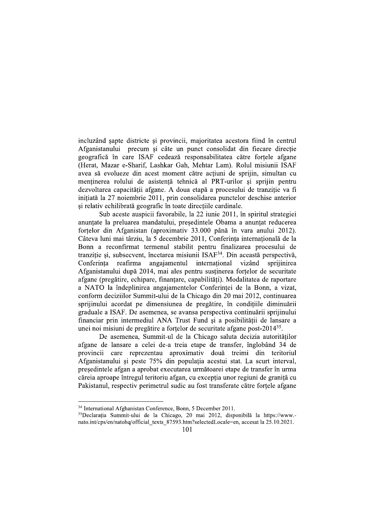incluzând șapte districte și provincii, majoritatea acestora fiind în centrul Afganistanului precum si câte un punct consolidat din fiecare directie geografică în care ISAF cedează responsabilitatea către fortele afgane (Herat, Mazar e-Sharif, Lashkar Gah, Mehtar Lam). Rolul misiunii ISAF avea să evolueze din acest moment către actiuni de sprijin, simultan cu menținerea rolului de asistență tehnică al PRT-urilor și sprijin pentru dezvoltarea capacității afgane. A doua etapă a procesului de tranziție va fi initiată la 27 noiembrie 2011, prin consolidarea punctelor deschise anterior și relativ echilibrată geografic în toate direcțiile cardinale.

Sub aceste auspicii favorabile, la 22 iunie 2011, în spiritul strategiei anuntate la preluarea mandatului, presedintele Obama a anuntat reducerea forțelor din Afganistan (aproximativ 33.000 până în vara anului 2012). Câteva luni mai târziu, la 5 decembrie 2011, Conferinta internatională de la Bonn a reconfirmat termenul stabilit pentru finalizarea procesului de tranziție și, subsecvent, încetarea misiunii ISAF<sup>34</sup>. Din această perspectivă, international reafirma angajamentul vizând Conferinta sprijinirea Afganistanului după 2014, mai ales pentru susținerea forțelor de securitate afgane (pregătire, echipare, finantare, capabilități). Modalitatea de raportare a NATO la îndeplinirea angajamentelor Conferintei de la Bonn, a vizat, conform deciziilor Summit-ului de la Chicago din 20 mai 2012, continuarea sprijinului acordat pe dimensiunea de pregătire, în conditiile diminuării graduale a ISAF. De asemenea, se avansa perspectiva continuării sprijinului financiar prin intermediul ANA Trust Fund și a posibilității de lansare a unei noi misiuni de pregătire a fortelor de securitate afgane post-2014<sup>35</sup>.

De asemenea, Summit-ul de la Chicago saluta decizia autoritătilor afgane de lansare a celei de-a treia etape de transfer, înglobând 34 de provincii care reprezentau aproximativ două treimi din teritoriul Afganistanului și peste 75% din populația acestui stat. La scurt interval, președintele afgan a aprobat executarea următoarei etape de transfer în urma căreia aproape întregul teritoriu afgan, cu excepția unor regiuni de graniță cu Pakistanul, respectiv perimetrul sudic au fost transferate către fortele afgane

<sup>&</sup>lt;sup>34</sup> International Afghanistan Conference, Bonn, 5 December 2011.

<sup>&</sup>lt;sup>35</sup>Declarația Summit-ului de la Chicago, 20 mai 2012, disponibilă la https://www.nato.int/cps/en/natohq/official texts 87593.htm?selectedLocale=en, accesat la 25.10.2021.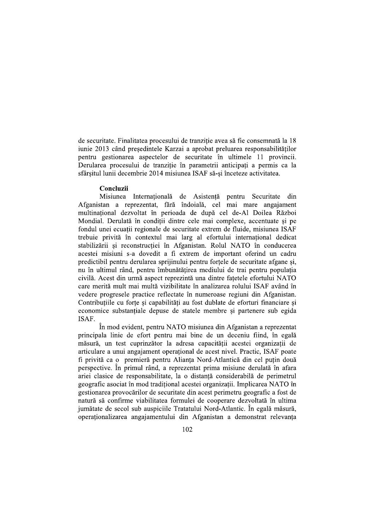de securitate. Finalitatea procesului de tranzitie avea să fie consemnată la 18 iunie 2013 când presedintele Karzai a aprobat preluarea responsabilitătilor pentru gestionarea aspectelor de securitate în ultimele 11 provincii. Derularea procesului de tranziție în parametrii anticipați a permis ca la sfârsitul lunii decembrie 2014 misiunea ISAF să-si înceteze activitatea.

#### Concluzii

Misiunea Internatională de Asistentă pentru Securitate din Afganistan a reprezentat, fără îndoială, cel mai mare angaiament multinațional dezvoltat în perioada de după cel de-Al Doilea Război Mondial. Derulată în conditii dintre cele mai complexe, accentuate si pe fondul unei ecuații regionale de securitate extrem de fluide, misiunea ISAF trebuie privită în contextul mai larg al efortului internațional dedicat stabilizării și reconstrucției în Afganistan. Rolul NATO în conducerea acestei misiuni s-a dovedit a fi extrem de important oferind un cadru predictibil pentru derularea sprijinului pentru forțele de securitate afgane și, nu în ultimul rând, pentru îmbunătățirea mediului de trai pentru populația civilă. Acest din urmă aspect reprezintă una dintre fațetele efortului NATO care merită mult mai multă vizibilitate în analizarea rolului ISAF având în vedere progresele practice reflectate în numeroase regiuni din Afganistan. Contribuțiile cu forțe și capabilități au fost dublate de eforturi financiare și economice substantiale depuse de statele membre si partenere sub egida ISAF.

În mod evident, pentru NATO misiunea din Afganistan a reprezentat principala linie de efort pentru mai bine de un deceniu fiind, în egală măsură, un test cuprinzător la adresa capacității acestei organizații de articulare a unui angajament operational de acest nivel. Practic, ISAF poate fi privită ca o premieră pentru Alianta Nord-Atlantică din cel putin două perspective. În primul rând, a reprezentat prima misiune derulată în afara ariei clasice de responsabilitate, la o distantă considerabilă de perimetrul geografic asociat în mod traditional acestei organizatii. Implicarea NATO în gestionarea provocărilor de securitate din acest perimetru geografic a fost de natură să confirme viabilitatea formulei de cooperare dezvoltată în ultima jumătate de secol sub auspiciile Tratatului Nord-Atlantic. În egală măsură, operationalizarea angajamentului din Afganistan a demonstrat relevanta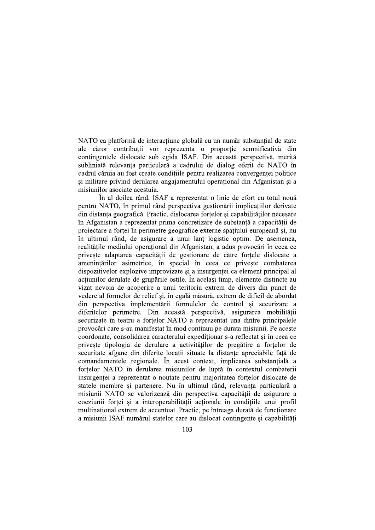NATO ca platformă de interacțiune globală cu un număr substanțial de state ale căror contribuții vor reprezenta o proporție semnificativă din contingentele dislocate sub egida ISAF. Din această perspectivă, merită subliniată relevanța particulară a cadrului de dialog oferit de NATO în cadrul căruia au fost create conditiile pentru realizarea convergentei politice și militare privind derularea angajamentului operațional din Afganistan și a misiunilor asociate acestuia.

În al doilea rând, ISAF a reprezentat o linie de efort cu totul nouă pentru NATO, în primul rând perspectiva gestionării implicațiilor derivate din distanța geografică. Practic, dislocarea forțelor și capabilităților necesare în Afganistan a reprezentat prima concretizare de substantă a capacității de proiectare a forței în perimetre geografice externe spațiului europeană și, nu în ultimul rând, de asigurare a unui lant logistic optim. De asemenea, realitățile mediului operațional din Afganistan, a adus provocări în ceea ce privește adaptarea capacității de gestionare de către forțele dislocate a amenintărilor asimetrice, în special în ceea ce priveste combaterea dispozitivelor explozive improvizate și a insurgenței ca element principal al actiunilor derulate de grupările ostile. În acelasi timp, elemente distincte au vizat nevoia de acoperire a unui teritoriu extrem de divers din punct de vedere al formelor de relief și, în egală măsură, extrem de dificil de abordat din perspectiva implementării formulelor de control si securizare a diferitelor perimetre. Din această perspectivă, asigurarea mobilității securizate în teatru a forțelor NATO a reprezentat una dintre principalele provocări care s-au manifestat în mod continuu pe durata misiunii. Pe aceste coordonate, consolidarea caracterului expeditionar s-a reflectat si în ceea ce priveste tipologia de derulare a activităților de pregătire a forțelor de securitate afgane din diferite locații situate la distanțe apreciabile față de comandamentele regionale. În acest context, implicarea substanțială a fortelor NATO în derularea misiunilor de luptă în contextul combaterii insurgentei a reprezentat o noutate pentru majoritatea fortelor dislocate de statele membre si partenere. Nu în ultimul rând, relevanta particulară a misiunii NATO se valorizează din perspectiva capacitătii de asigurare a coeziunii forței și a interoperabilității acționale în condițiile unui profil multinational extrem de accentuat. Practic, pe întreaga durată de funcționare a misiunii ISAF numărul statelor care au dislocat contingente si capabilităti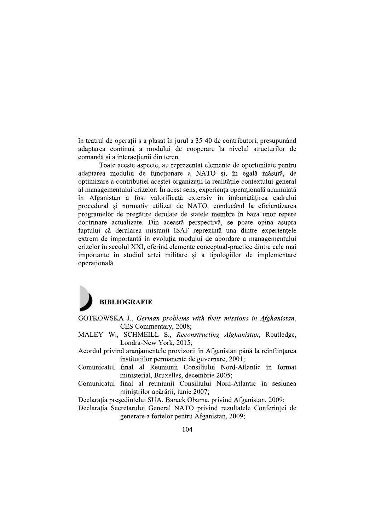în teatrul de operații s-a plasat în jurul a 35-40 de contributori, presupunând adaptarea continuă a modului de cooperare la nivelul structurilor de comandă și a interactiunii din teren.

Toate aceste aspecte, au reprezentat elemente de oportunitate pentru adaptarea modului de funcționare a NATO și, în egală măsură, de optimizare a contribuției acestei organizații la realitățile contextului general al managementului crizelor. În acest sens, experiența operațională acumulată în Afganistan a fost valorificată extensiv în îmbunătătirea cadrului procedural și normativ utilizat de NATO, conducând la eficientizarea programelor de pregătire derulate de statele membre în baza unor repere doctrinare actualizate. Din această perspectivă, se poate opina asupra faptului că derularea misiunii ISAF reprezintă una dintre experiențele extrem de importantă în evolutia modului de abordare a managementului crizelor în secolul XXI, oferind elemente conceptual-practice dintre cele mai importante în studiul artei militare și a tipologiilor de implementare operatională.

# **BIBLIOGRAFIE**

- GOTKOWSKA J., German problems with their missions in Afghanistan, CES Commentary, 2008;
- MALEY W., SCHMEILL S., Reconstructing Afghanistan, Routledge, Londra-New York, 2015;
- Acordul privind aranjamentele provizorii în Afganistan până la reînființarea instituțiilor permanente de guvernare, 2001;
- Comunicatul final al Reuniunii Consiliului Nord-Atlantic în format ministerial, Bruxelles, decembrie 2005;
- Comunicatul final al reuniunii Consiliului Nord-Atlantic în sesiunea ministrilor apărării, iunie 2007;

Declarația președintelui SUA, Barack Obama, privind Afganistan, 2009;

Declarația Secretarului General NATO privind rezultatele Conferinței de generare a fortelor pentru Afganistan, 2009;